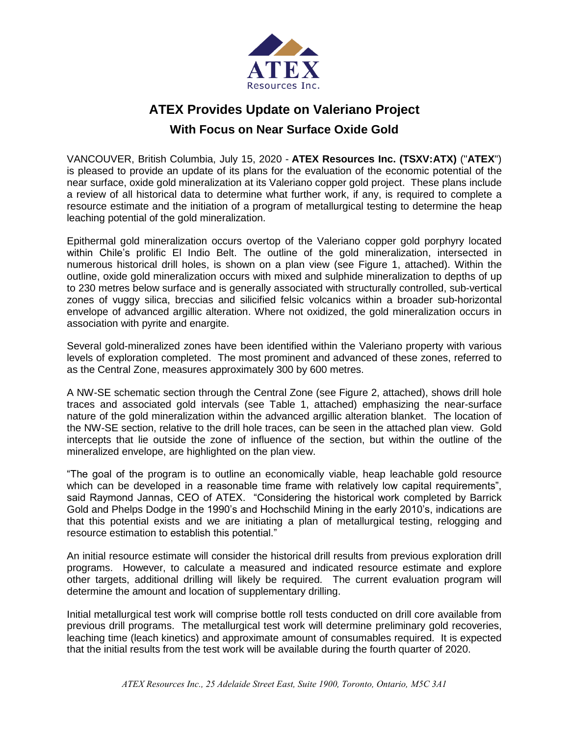

# **ATEX Provides Update on Valeriano Project With Focus on Near Surface Oxide Gold**

VANCOUVER, British Columbia, July 15, 2020 - **ATEX Resources Inc. (TSXV:ATX)** ("**ATEX**") is pleased to provide an update of its plans for the evaluation of the economic potential of the near surface, oxide gold mineralization at its Valeriano copper gold project. These plans include a review of all historical data to determine what further work, if any, is required to complete a resource estimate and the initiation of a program of metallurgical testing to determine the heap leaching potential of the gold mineralization.

Epithermal gold mineralization occurs overtop of the Valeriano copper gold porphyry located within Chile's prolific El Indio Belt. The outline of the gold mineralization, intersected in numerous historical drill holes, is shown on a plan view (see Figure 1, attached). Within the outline, oxide gold mineralization occurs with mixed and sulphide mineralization to depths of up to 230 metres below surface and is generally associated with structurally controlled, sub-vertical zones of vuggy silica, breccias and silicified felsic volcanics within a broader sub-horizontal envelope of advanced argillic alteration. Where not oxidized, the gold mineralization occurs in association with pyrite and enargite.

Several gold-mineralized zones have been identified within the Valeriano property with various levels of exploration completed. The most prominent and advanced of these zones, referred to as the Central Zone, measures approximately 300 by 600 metres.

A NW-SE schematic section through the Central Zone (see Figure 2, attached), shows drill hole traces and associated gold intervals (see Table 1, attached) emphasizing the near-surface nature of the gold mineralization within the advanced argillic alteration blanket. The location of the NW-SE section, relative to the drill hole traces, can be seen in the attached plan view. Gold intercepts that lie outside the zone of influence of the section, but within the outline of the mineralized envelope, are highlighted on the plan view.

"The goal of the program is to outline an economically viable, heap leachable gold resource which can be developed in a reasonable time frame with relatively low capital requirements", said Raymond Jannas, CEO of ATEX. "Considering the historical work completed by Barrick Gold and Phelps Dodge in the 1990's and Hochschild Mining in the early 2010's, indications are that this potential exists and we are initiating a plan of metallurgical testing, relogging and resource estimation to establish this potential."

An initial resource estimate will consider the historical drill results from previous exploration drill programs. However, to calculate a measured and indicated resource estimate and explore other targets, additional drilling will likely be required. The current evaluation program will determine the amount and location of supplementary drilling.

Initial metallurgical test work will comprise bottle roll tests conducted on drill core available from previous drill programs. The metallurgical test work will determine preliminary gold recoveries, leaching time (leach kinetics) and approximate amount of consumables required. It is expected that the initial results from the test work will be available during the fourth quarter of 2020.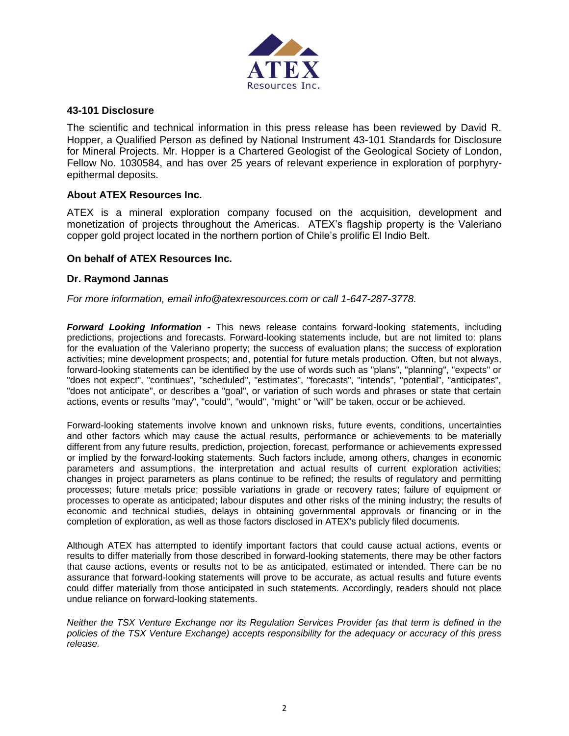

# **43-101 Disclosure**

The scientific and technical information in this press release has been reviewed by David R. Hopper, a Qualified Person as defined by National Instrument 43-101 Standards for Disclosure for Mineral Projects. Mr. Hopper is a Chartered Geologist of the Geological Society of London, Fellow No. 1030584, and has over 25 years of relevant experience in exploration of porphyryepithermal deposits.

# **About ATEX Resources Inc.**

ATEX is a mineral exploration company focused on the acquisition, development and monetization of projects throughout the Americas. ATEX's flagship property is the Valeriano copper gold project located in the northern portion of Chile's prolific El Indio Belt.

### **On behalf of ATEX Resources Inc.**

# **Dr. Raymond Jannas**

*For more information, email info@atexresources.com or call 1-647-287-3778.*

*Forward Looking Information -* This news release contains forward-looking statements, including predictions, projections and forecasts. Forward-looking statements include, but are not limited to: plans for the evaluation of the Valeriano property; the success of evaluation plans; the success of exploration activities; mine development prospects; and, potential for future metals production. Often, but not always, forward-looking statements can be identified by the use of words such as "plans", "planning", "expects" or "does not expect", "continues", "scheduled", "estimates", "forecasts", "intends", "potential", "anticipates", "does not anticipate", or describes a "goal", or variation of such words and phrases or state that certain actions, events or results "may", "could", "would", "might" or "will" be taken, occur or be achieved.

Forward-looking statements involve known and unknown risks, future events, conditions, uncertainties and other factors which may cause the actual results, performance or achievements to be materially different from any future results, prediction, projection, forecast, performance or achievements expressed or implied by the forward-looking statements. Such factors include, among others, changes in economic parameters and assumptions, the interpretation and actual results of current exploration activities; changes in project parameters as plans continue to be refined; the results of regulatory and permitting processes; future metals price; possible variations in grade or recovery rates; failure of equipment or processes to operate as anticipated; labour disputes and other risks of the mining industry; the results of economic and technical studies, delays in obtaining governmental approvals or financing or in the completion of exploration, as well as those factors disclosed in ATEX's publicly filed documents.

Although ATEX has attempted to identify important factors that could cause actual actions, events or results to differ materially from those described in forward-looking statements, there may be other factors that cause actions, events or results not to be as anticipated, estimated or intended. There can be no assurance that forward-looking statements will prove to be accurate, as actual results and future events could differ materially from those anticipated in such statements. Accordingly, readers should not place undue reliance on forward-looking statements.

*Neither the TSX Venture Exchange nor its Regulation Services Provider (as that term is defined in the policies of the TSX Venture Exchange) accepts responsibility for the adequacy or accuracy of this press release.*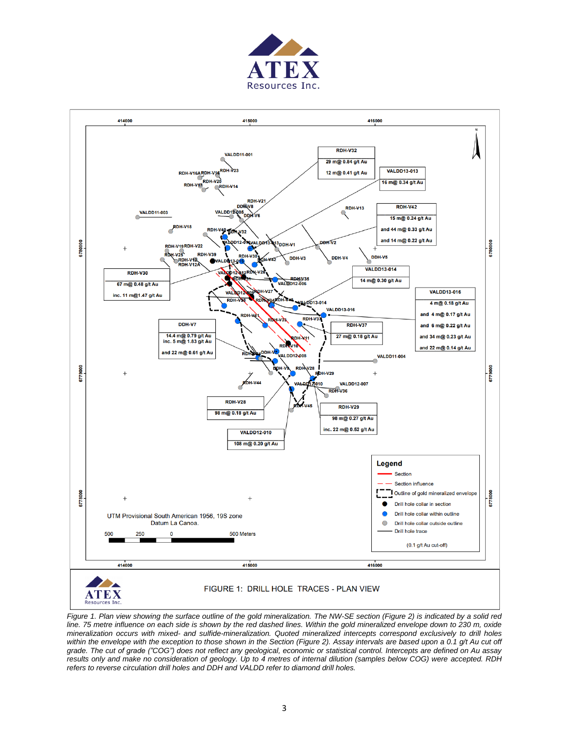



*Figure 1. Plan view showing the surface outline of the gold mineralization. The NW-SE section (Figure 2) is indicated by a solid red*  line. 75 metre influence on each side is shown by the red dashed lines. Within the gold mineralized envelope down to 230 m, oxide *mineralization occurs with mixed- and sulfide-mineralization. Quoted mineralized intercepts correspond exclusively to drill holes within the envelope with the exception to those shown in the Section (Figure 2). Assay intervals are based upon a 0.1 g/t Au cut off grade. The cut of grade ("COG") does not reflect any geological, economic or statistical control. Intercepts are defined on Au assay results only and make no consideration of geology. Up to 4 metres of internal dilution (samples below COG) were accepted. RDH refers to reverse circulation drill holes and DDH and VALDD refer to diamond drill holes.*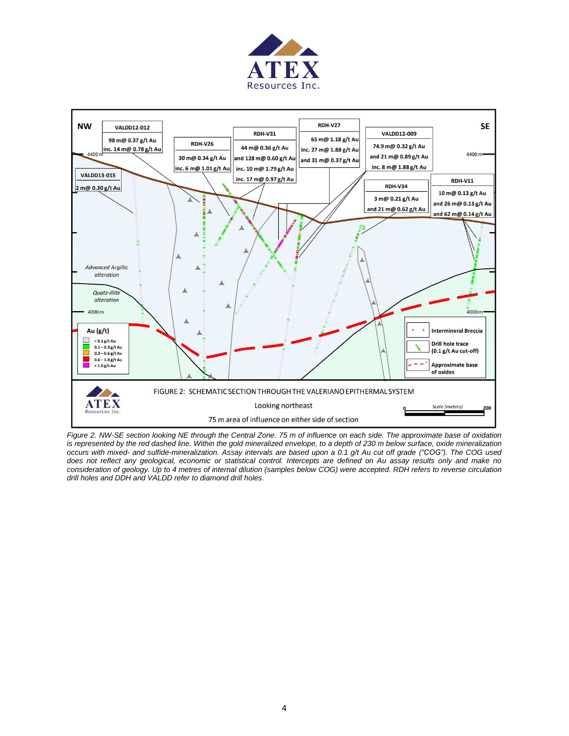



*Figure 2. NW-SE section looking NE through the Central Zone. 75 m of influence on each side. The approximate base of oxidation is represented by the red dashed line. Within the gold mineralized envelope, to a depth of 230 m below surface, oxide mineralization occurs with mixed- and sulfide-mineralization. Assay intervals are based upon a 0.1 g/t Au cut off grade ("COG"). The COG used does not reflect any geological, economic or statistical control. Intercepts are defined on Au assay results only and make no consideration of geology. Up to 4 metres of internal dilution (samples below COG) were accepted. RDH refers to reverse circulation drill holes and DDH and VALDD refer to diamond drill holes.*